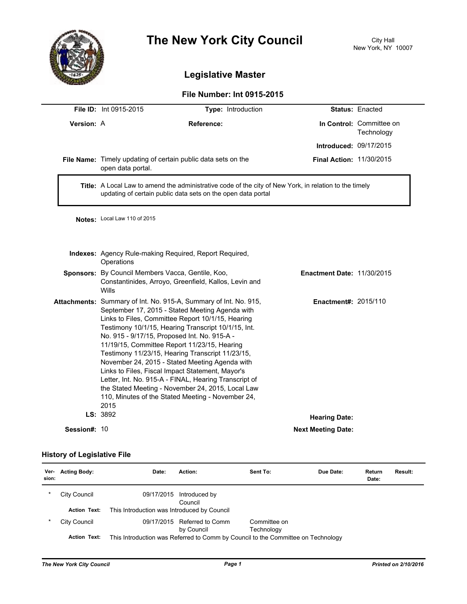

# **The New York City Council** City Hall

## **Legislative Master**

#### **File Number: Int 0915-2015**

|                     | <b>File ID: Int 0915-2015</b>                                                                                                                                                                                                                                                                                                                                                                                                                                                                                                                                                                                                                                        | Type: Introduction                                            |                               | <b>Status: Enacted</b>                 |  |  |
|---------------------|----------------------------------------------------------------------------------------------------------------------------------------------------------------------------------------------------------------------------------------------------------------------------------------------------------------------------------------------------------------------------------------------------------------------------------------------------------------------------------------------------------------------------------------------------------------------------------------------------------------------------------------------------------------------|---------------------------------------------------------------|-------------------------------|----------------------------------------|--|--|
| Version: A          | <b>Reference:</b>                                                                                                                                                                                                                                                                                                                                                                                                                                                                                                                                                                                                                                                    |                                                               |                               | In Control: Committee on<br>Technology |  |  |
|                     |                                                                                                                                                                                                                                                                                                                                                                                                                                                                                                                                                                                                                                                                      |                                                               | <b>Introduced: 09/17/2015</b> |                                        |  |  |
|                     | File Name: Timely updating of certain public data sets on the<br>open data portal.                                                                                                                                                                                                                                                                                                                                                                                                                                                                                                                                                                                   | <b>Final Action: 11/30/2015</b>                               |                               |                                        |  |  |
|                     | Title: A Local Law to amend the administrative code of the city of New York, in relation to the timely<br>updating of certain public data sets on the open data portal                                                                                                                                                                                                                                                                                                                                                                                                                                                                                               |                                                               |                               |                                        |  |  |
|                     | Notes: Local Law 110 of 2015                                                                                                                                                                                                                                                                                                                                                                                                                                                                                                                                                                                                                                         |                                                               |                               |                                        |  |  |
|                     | Operations                                                                                                                                                                                                                                                                                                                                                                                                                                                                                                                                                                                                                                                           | <b>Indexes:</b> Agency Rule-making Required, Report Required, |                               |                                        |  |  |
|                     | Sponsors: By Council Members Vacca, Gentile, Koo,<br>Constantinides, Arroyo, Greenfield, Kallos, Levin and<br><b>Wills</b>                                                                                                                                                                                                                                                                                                                                                                                                                                                                                                                                           | <b>Enactment Date: 11/30/2015</b>                             |                               |                                        |  |  |
|                     | Attachments: Summary of Int. No. 915-A, Summary of Int. No. 915,<br>September 17, 2015 - Stated Meeting Agenda with<br>Links to Files, Committee Report 10/1/15, Hearing<br>Testimony 10/1/15, Hearing Transcript 10/1/15, Int.<br>No. 915 - 9/17/15, Proposed Int. No. 915-A -<br>11/19/15, Committee Report 11/23/15, Hearing<br>Testimony 11/23/15, Hearing Transcript 11/23/15,<br>November 24, 2015 - Stated Meeting Agenda with<br>Links to Files, Fiscal Impact Statement, Mayor's<br>Letter, Int. No. 915-A - FINAL, Hearing Transcript of<br>the Stated Meeting - November 24, 2015, Local Law<br>110, Minutes of the Stated Meeting - November 24,<br>2015 | <b>Enactment#: 2015/110</b>                                   |                               |                                        |  |  |
|                     | LS: 3892                                                                                                                                                                                                                                                                                                                                                                                                                                                                                                                                                                                                                                                             |                                                               | <b>Hearing Date:</b>          |                                        |  |  |
| <b>Session#: 10</b> |                                                                                                                                                                                                                                                                                                                                                                                                                                                                                                                                                                                                                                                                      |                                                               | <b>Next Meeting Date:</b>     |                                        |  |  |

### **History of Legislative File**

| Ver-<br>sion: | <b>Acting Body:</b> | Date:                                                                            | Action:                                   | Sent To:                   | Due Date: | Return<br>Date: | <b>Result:</b> |
|---------------|---------------------|----------------------------------------------------------------------------------|-------------------------------------------|----------------------------|-----------|-----------------|----------------|
| $\ast$        | City Council        | 09/17/2015                                                                       | Introduced by<br>Council                  |                            |           |                 |                |
|               | <b>Action Text:</b> | This Introduction was Introduced by Council                                      |                                           |                            |           |                 |                |
| *             | City Council        |                                                                                  | 09/17/2015 Referred to Comm<br>by Council | Committee on<br>Technology |           |                 |                |
|               | <b>Action Text:</b> | This Introduction was Referred to Comm by Council to the Committee on Technology |                                           |                            |           |                 |                |